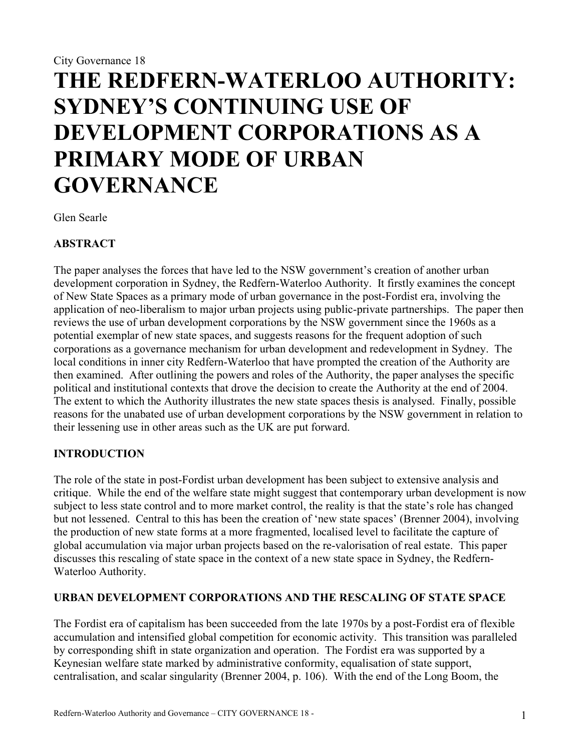# **THE REDFERN-WATERLOO AUTHORITY: SYDNEY'S CONTINUING USE OF DEVELOPMENT CORPORATIONS AS A PRIMARY MODE OF URBAN GOVERNANCE**

Glen Searle

## **ABSTRACT**

The paper analyses the forces that have led to the NSW government's creation of another urban development corporation in Sydney, the Redfern-Waterloo Authority. It firstly examines the concept of New State Spaces as a primary mode of urban governance in the post-Fordist era, involving the application of neo-liberalism to major urban projects using public-private partnerships. The paper then reviews the use of urban development corporations by the NSW government since the 1960s as a potential exemplar of new state spaces, and suggests reasons for the frequent adoption of such corporations as a governance mechanism for urban development and redevelopment in Sydney. The local conditions in inner city Redfern-Waterloo that have prompted the creation of the Authority are then examined. After outlining the powers and roles of the Authority, the paper analyses the specific political and institutional contexts that drove the decision to create the Authority at the end of 2004. The extent to which the Authority illustrates the new state spaces thesis is analysed. Finally, possible reasons for the unabated use of urban development corporations by the NSW government in relation to their lessening use in other areas such as the UK are put forward.

# **INTRODUCTION**

The role of the state in post-Fordist urban development has been subject to extensive analysis and critique. While the end of the welfare state might suggest that contemporary urban development is now subject to less state control and to more market control, the reality is that the state's role has changed but not lessened. Central to this has been the creation of 'new state spaces' (Brenner 2004), involving the production of new state forms at a more fragmented, localised level to facilitate the capture of global accumulation via major urban projects based on the re-valorisation of real estate. This paper discusses this rescaling of state space in the context of a new state space in Sydney, the Redfern-Waterloo Authority.

#### **URBAN DEVELOPMENT CORPORATIONS AND THE RESCALING OF STATE SPACE**

The Fordist era of capitalism has been succeeded from the late 1970s by a post-Fordist era of flexible accumulation and intensified global competition for economic activity. This transition was paralleled by corresponding shift in state organization and operation. The Fordist era was supported by a Keynesian welfare state marked by administrative conformity, equalisation of state support, centralisation, and scalar singularity (Brenner 2004, p. 106). With the end of the Long Boom, the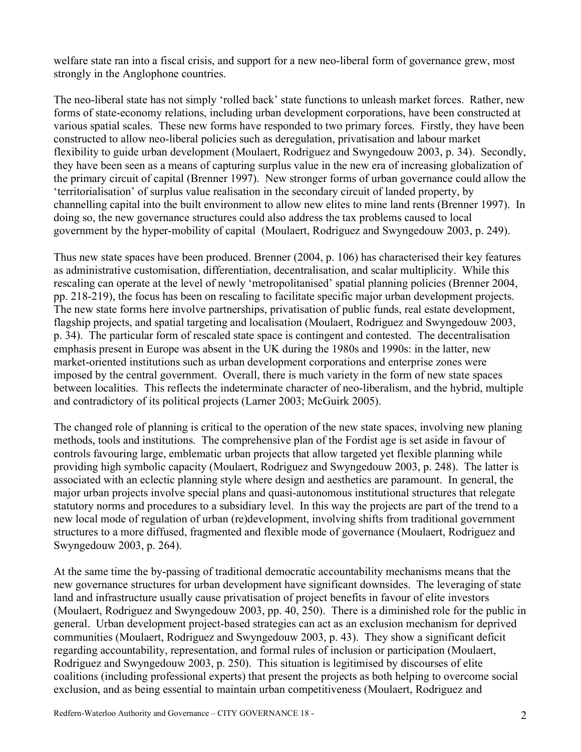welfare state ran into a fiscal crisis, and support for a new neo-liberal form of governance grew, most strongly in the Anglophone countries.

The neo-liberal state has not simply 'rolled back' state functions to unleash market forces. Rather, new forms of state-economy relations, including urban development corporations, have been constructed at various spatial scales. These new forms have responded to two primary forces. Firstly, they have been constructed to allow neo-liberal policies such as deregulation, privatisation and labour market flexibility to guide urban development (Moulaert, Rodriguez and Swyngedouw 2003, p. 34). Secondly, they have been seen as a means of capturing surplus value in the new era of increasing globalization of the primary circuit of capital (Brenner 1997). New stronger forms of urban governance could allow the 'territorialisation' of surplus value realisation in the secondary circuit of landed property, by channelling capital into the built environment to allow new elites to mine land rents (Brenner 1997). In doing so, the new governance structures could also address the tax problems caused to local government by the hyper-mobility of capital (Moulaert, Rodriguez and Swyngedouw 2003, p. 249).

Thus new state spaces have been produced. Brenner (2004, p. 106) has characterised their key features as administrative customisation, differentiation, decentralisation, and scalar multiplicity. While this rescaling can operate at the level of newly 'metropolitanised' spatial planning policies (Brenner 2004, pp. 218-219), the focus has been on rescaling to facilitate specific major urban development projects. The new state forms here involve partnerships, privatisation of public funds, real estate development, flagship projects, and spatial targeting and localisation (Moulaert, Rodriguez and Swyngedouw 2003, p. 34). The particular form of rescaled state space is contingent and contested. The decentralisation emphasis present in Europe was absent in the UK during the 1980s and 1990s: in the latter, new market-oriented institutions such as urban development corporations and enterprise zones were imposed by the central government. Overall, there is much variety in the form of new state spaces between localities. This reflects the indeterminate character of neo-liberalism, and the hybrid, multiple and contradictory of its political projects (Larner 2003; McGuirk 2005).

The changed role of planning is critical to the operation of the new state spaces, involving new planing methods, tools and institutions. The comprehensive plan of the Fordist age is set aside in favour of controls favouring large, emblematic urban projects that allow targeted yet flexible planning while providing high symbolic capacity (Moulaert, Rodriguez and Swyngedouw 2003, p. 248). The latter is associated with an eclectic planning style where design and aesthetics are paramount. In general, the major urban projects involve special plans and quasi-autonomous institutional structures that relegate statutory norms and procedures to a subsidiary level. In this way the projects are part of the trend to a new local mode of regulation of urban (re)development, involving shifts from traditional government structures to a more diffused, fragmented and flexible mode of governance (Moulaert, Rodriguez and Swyngedouw 2003, p. 264).

At the same time the by-passing of traditional democratic accountability mechanisms means that the new governance structures for urban development have significant downsides. The leveraging of state land and infrastructure usually cause privatisation of project benefits in favour of elite investors (Moulaert, Rodriguez and Swyngedouw 2003, pp. 40, 250). There is a diminished role for the public in general. Urban development project-based strategies can act as an exclusion mechanism for deprived communities (Moulaert, Rodriguez and Swyngedouw 2003, p. 43). They show a significant deficit regarding accountability, representation, and formal rules of inclusion or participation (Moulaert, Rodriguez and Swyngedouw 2003, p. 250). This situation is legitimised by discourses of elite coalitions (including professional experts) that present the projects as both helping to overcome social exclusion, and as being essential to maintain urban competitiveness (Moulaert, Rodriguez and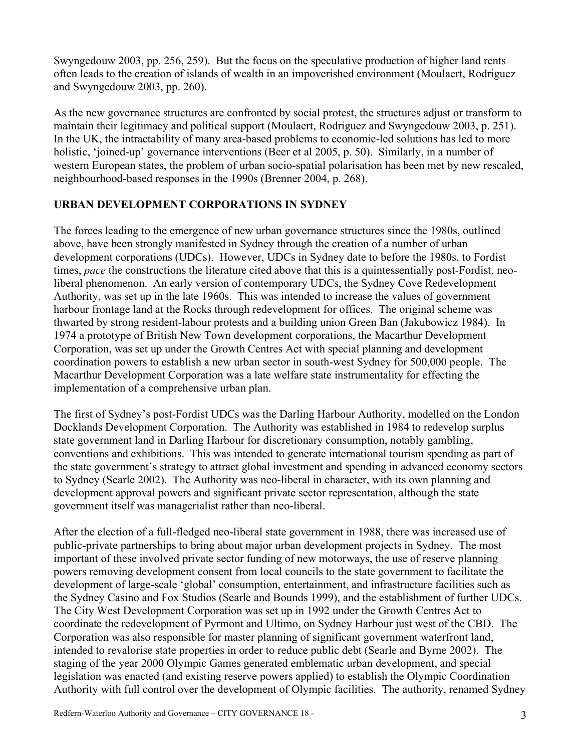Swyngedouw 2003, pp. 256, 259). But the focus on the speculative production of higher land rents often leads to the creation of islands of wealth in an impoverished environment (Moulaert, Rodriguez and Swyngedouw 2003, pp. 260).

As the new governance structures are confronted by social protest, the structures adjust or transform to maintain their legitimacy and political support (Moulaert, Rodriguez and Swyngedouw 2003, p. 251). In the UK, the intractability of many area-based problems to economic-led solutions has led to more holistic, 'joined-up' governance interventions (Beer et al 2005, p. 50). Similarly, in a number of western European states, the problem of urban socio-spatial polarisation has been met by new rescaled, neighbourhood-based responses in the 1990s (Brenner 2004, p. 268).

#### **URBAN DEVELOPMENT CORPORATIONS IN SYDNEY**

The forces leading to the emergence of new urban governance structures since the 1980s, outlined above, have been strongly manifested in Sydney through the creation of a number of urban development corporations (UDCs). However, UDCs in Sydney date to before the 1980s, to Fordist times, *pace* the constructions the literature cited above that this is a quintessentially post-Fordist, neoliberal phenomenon. An early version of contemporary UDCs, the Sydney Cove Redevelopment Authority, was set up in the late 1960s. This was intended to increase the values of government harbour frontage land at the Rocks through redevelopment for offices. The original scheme was thwarted by strong resident-labour protests and a building union Green Ban (Jakubowicz 1984). In 1974 a prototype of British New Town development corporations, the Macarthur Development Corporation, was set up under the Growth Centres Act with special planning and development coordination powers to establish a new urban sector in south-west Sydney for 500,000 people. The Macarthur Development Corporation was a late welfare state instrumentality for effecting the implementation of a comprehensive urban plan.

The first of Sydney's post-Fordist UDCs was the Darling Harbour Authority, modelled on the London Docklands Development Corporation. The Authority was established in 1984 to redevelop surplus state government land in Darling Harbour for discretionary consumption, notably gambling, conventions and exhibitions. This was intended to generate international tourism spending as part of the state government's strategy to attract global investment and spending in advanced economy sectors to Sydney (Searle 2002). The Authority was neo-liberal in character, with its own planning and development approval powers and significant private sector representation, although the state government itself was managerialist rather than neo-liberal.

After the election of a full-fledged neo-liberal state government in 1988, there was increased use of public-private partnerships to bring about major urban development projects in Sydney. The most important of these involved private sector funding of new motorways, the use of reserve planning powers removing development consent from local councils to the state government to facilitate the development of large-scale 'global' consumption, entertainment, and infrastructure facilities such as the Sydney Casino and Fox Studios (Searle and Bounds 1999), and the establishment of further UDCs. The City West Development Corporation was set up in 1992 under the Growth Centres Act to coordinate the redevelopment of Pyrmont and Ultimo, on Sydney Harbour just west of the CBD. The Corporation was also responsible for master planning of significant government waterfront land, intended to revalorise state properties in order to reduce public debt (Searle and Byrne 2002). The staging of the year 2000 Olympic Games generated emblematic urban development, and special legislation was enacted (and existing reserve powers applied) to establish the Olympic Coordination Authority with full control over the development of Olympic facilities. The authority, renamed Sydney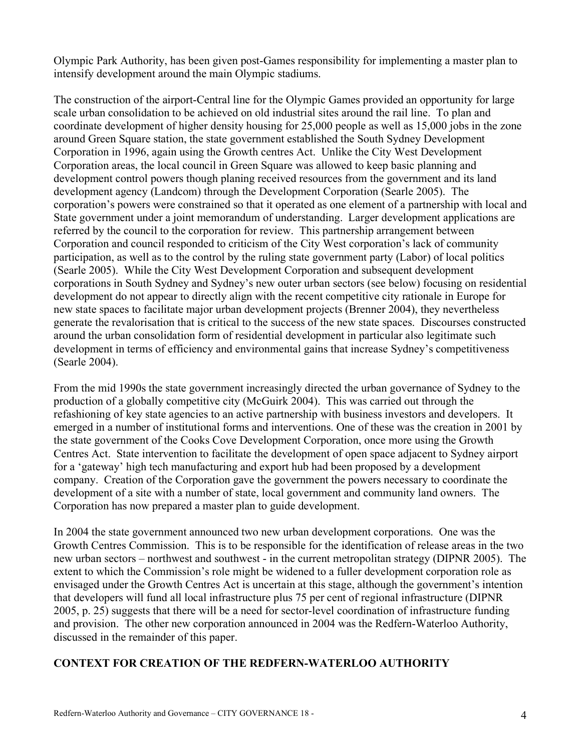Olympic Park Authority, has been given post-Games responsibility for implementing a master plan to intensify development around the main Olympic stadiums.

The construction of the airport-Central line for the Olympic Games provided an opportunity for large scale urban consolidation to be achieved on old industrial sites around the rail line. To plan and coordinate development of higher density housing for 25,000 people as well as 15,000 jobs in the zone around Green Square station, the state government established the South Sydney Development Corporation in 1996, again using the Growth centres Act. Unlike the City West Development Corporation areas, the local council in Green Square was allowed to keep basic planning and development control powers though planing received resources from the government and its land development agency (Landcom) through the Development Corporation (Searle 2005). The corporation's powers were constrained so that it operated as one element of a partnership with local and State government under a joint memorandum of understanding. Larger development applications are referred by the council to the corporation for review. This partnership arrangement between Corporation and council responded to criticism of the City West corporation's lack of community participation, as well as to the control by the ruling state government party (Labor) of local politics (Searle 2005). While the City West Development Corporation and subsequent development corporations in South Sydney and Sydney's new outer urban sectors (see below) focusing on residential development do not appear to directly align with the recent competitive city rationale in Europe for new state spaces to facilitate major urban development projects (Brenner 2004), they nevertheless generate the revalorisation that is critical to the success of the new state spaces. Discourses constructed around the urban consolidation form of residential development in particular also legitimate such development in terms of efficiency and environmental gains that increase Sydney's competitiveness (Searle 2004).

From the mid 1990s the state government increasingly directed the urban governance of Sydney to the production of a globally competitive city (McGuirk 2004). This was carried out through the refashioning of key state agencies to an active partnership with business investors and developers. It emerged in a number of institutional forms and interventions. One of these was the creation in 2001 by the state government of the Cooks Cove Development Corporation, once more using the Growth Centres Act. State intervention to facilitate the development of open space adjacent to Sydney airport for a 'gateway' high tech manufacturing and export hub had been proposed by a development company. Creation of the Corporation gave the government the powers necessary to coordinate the development of a site with a number of state, local government and community land owners. The Corporation has now prepared a master plan to guide development.

In 2004 the state government announced two new urban development corporations. One was the Growth Centres Commission. This is to be responsible for the identification of release areas in the two new urban sectors – northwest and southwest - in the current metropolitan strategy (DIPNR 2005). The extent to which the Commission's role might be widened to a fuller development corporation role as envisaged under the Growth Centres Act is uncertain at this stage, although the government's intention that developers will fund all local infrastructure plus 75 per cent of regional infrastructure (DIPNR 2005, p. 25) suggests that there will be a need for sector-level coordination of infrastructure funding and provision. The other new corporation announced in 2004 was the Redfern-Waterloo Authority, discussed in the remainder of this paper.

#### **CONTEXT FOR CREATION OF THE REDFERN-WATERLOO AUTHORITY**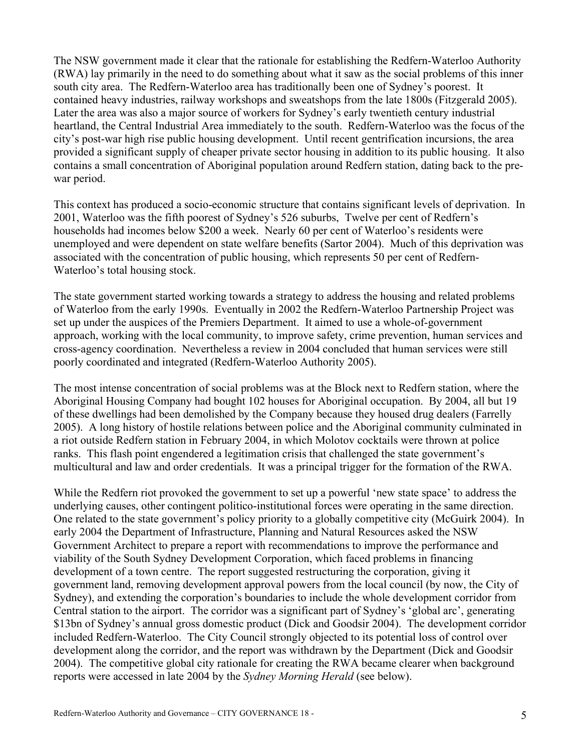The NSW government made it clear that the rationale for establishing the Redfern-Waterloo Authority (RWA) lay primarily in the need to do something about what it saw as the social problems of this inner south city area. The Redfern-Waterloo area has traditionally been one of Sydney's poorest. It contained heavy industries, railway workshops and sweatshops from the late 1800s (Fitzgerald 2005). Later the area was also a major source of workers for Sydney's early twentieth century industrial heartland, the Central Industrial Area immediately to the south. Redfern-Waterloo was the focus of the city's post-war high rise public housing development. Until recent gentrification incursions, the area provided a significant supply of cheaper private sector housing in addition to its public housing. It also contains a small concentration of Aboriginal population around Redfern station, dating back to the prewar period.

This context has produced a socio-economic structure that contains significant levels of deprivation. In 2001, Waterloo was the fifth poorest of Sydney's 526 suburbs, Twelve per cent of Redfern's households had incomes below \$200 a week. Nearly 60 per cent of Waterloo's residents were unemployed and were dependent on state welfare benefits (Sartor 2004). Much of this deprivation was associated with the concentration of public housing, which represents 50 per cent of Redfern-Waterloo's total housing stock.

The state government started working towards a strategy to address the housing and related problems of Waterloo from the early 1990s. Eventually in 2002 the Redfern-Waterloo Partnership Project was set up under the auspices of the Premiers Department. It aimed to use a whole-of-government approach, working with the local community, to improve safety, crime prevention, human services and cross-agency coordination. Nevertheless a review in 2004 concluded that human services were still poorly coordinated and integrated (Redfern-Waterloo Authority 2005).

The most intense concentration of social problems was at the Block next to Redfern station, where the Aboriginal Housing Company had bought 102 houses for Aboriginal occupation. By 2004, all but 19 of these dwellings had been demolished by the Company because they housed drug dealers (Farrelly 2005). A long history of hostile relations between police and the Aboriginal community culminated in a riot outside Redfern station in February 2004, in which Molotov cocktails were thrown at police ranks. This flash point engendered a legitimation crisis that challenged the state government's multicultural and law and order credentials. It was a principal trigger for the formation of the RWA.

While the Redfern riot provoked the government to set up a powerful 'new state space' to address the underlying causes, other contingent politico-institutional forces were operating in the same direction. One related to the state government's policy priority to a globally competitive city (McGuirk 2004). In early 2004 the Department of Infrastructure, Planning and Natural Resources asked the NSW Government Architect to prepare a report with recommendations to improve the performance and viability of the South Sydney Development Corporation, which faced problems in financing development of a town centre. The report suggested restructuring the corporation, giving it government land, removing development approval powers from the local council (by now, the City of Sydney), and extending the corporation's boundaries to include the whole development corridor from Central station to the airport. The corridor was a significant part of Sydney's 'global arc', generating \$13bn of Sydney's annual gross domestic product (Dick and Goodsir 2004). The development corridor included Redfern-Waterloo. The City Council strongly objected to its potential loss of control over development along the corridor, and the report was withdrawn by the Department (Dick and Goodsir 2004). The competitive global city rationale for creating the RWA became clearer when background reports were accessed in late 2004 by the *Sydney Morning Herald* (see below).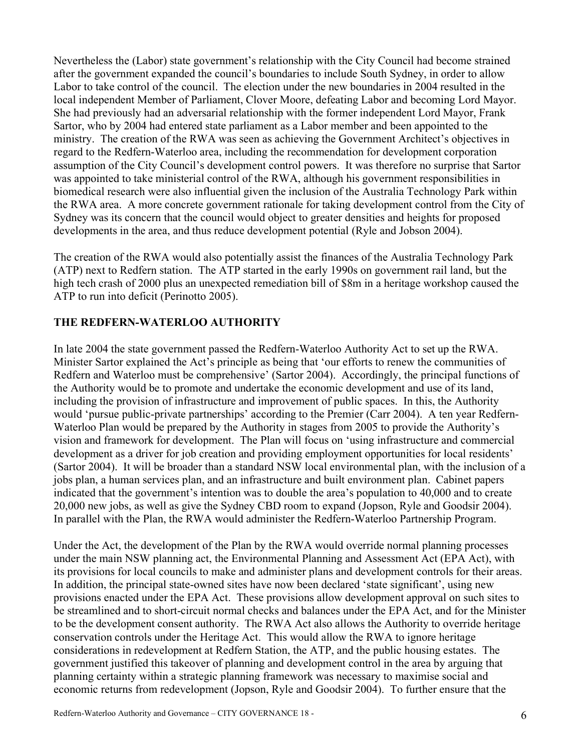Nevertheless the (Labor) state government's relationship with the City Council had become strained after the government expanded the council's boundaries to include South Sydney, in order to allow Labor to take control of the council. The election under the new boundaries in 2004 resulted in the local independent Member of Parliament, Clover Moore, defeating Labor and becoming Lord Mayor. She had previously had an adversarial relationship with the former independent Lord Mayor, Frank Sartor, who by 2004 had entered state parliament as a Labor member and been appointed to the ministry. The creation of the RWA was seen as achieving the Government Architect's objectives in regard to the Redfern-Waterloo area, including the recommendation for development corporation assumption of the City Council's development control powers. It was therefore no surprise that Sartor was appointed to take ministerial control of the RWA, although his government responsibilities in biomedical research were also influential given the inclusion of the Australia Technology Park within the RWA area. A more concrete government rationale for taking development control from the City of Sydney was its concern that the council would object to greater densities and heights for proposed developments in the area, and thus reduce development potential (Ryle and Jobson 2004).

The creation of the RWA would also potentially assist the finances of the Australia Technology Park (ATP) next to Redfern station. The ATP started in the early 1990s on government rail land, but the high tech crash of 2000 plus an unexpected remediation bill of \$8m in a heritage workshop caused the ATP to run into deficit (Perinotto 2005).

#### **THE REDFERN-WATERLOO AUTHORITY**

In late 2004 the state government passed the Redfern-Waterloo Authority Act to set up the RWA. Minister Sartor explained the Act's principle as being that 'our efforts to renew the communities of Redfern and Waterloo must be comprehensive' (Sartor 2004). Accordingly, the principal functions of the Authority would be to promote and undertake the economic development and use of its land, including the provision of infrastructure and improvement of public spaces. In this, the Authority would 'pursue public-private partnerships' according to the Premier (Carr 2004). A ten year Redfern-Waterloo Plan would be prepared by the Authority in stages from 2005 to provide the Authority's vision and framework for development. The Plan will focus on 'using infrastructure and commercial development as a driver for job creation and providing employment opportunities for local residents' (Sartor 2004). It will be broader than a standard NSW local environmental plan, with the inclusion of a jobs plan, a human services plan, and an infrastructure and built environment plan. Cabinet papers indicated that the government's intention was to double the area's population to 40,000 and to create 20,000 new jobs, as well as give the Sydney CBD room to expand (Jopson, Ryle and Goodsir 2004). In parallel with the Plan, the RWA would administer the Redfern-Waterloo Partnership Program.

Under the Act, the development of the Plan by the RWA would override normal planning processes under the main NSW planning act, the Environmental Planning and Assessment Act (EPA Act), with its provisions for local councils to make and administer plans and development controls for their areas. In addition, the principal state-owned sites have now been declared 'state significant', using new provisions enacted under the EPA Act. These provisions allow development approval on such sites to be streamlined and to short-circuit normal checks and balances under the EPA Act, and for the Minister to be the development consent authority. The RWA Act also allows the Authority to override heritage conservation controls under the Heritage Act. This would allow the RWA to ignore heritage considerations in redevelopment at Redfern Station, the ATP, and the public housing estates. The government justified this takeover of planning and development control in the area by arguing that planning certainty within a strategic planning framework was necessary to maximise social and economic returns from redevelopment (Jopson, Ryle and Goodsir 2004). To further ensure that the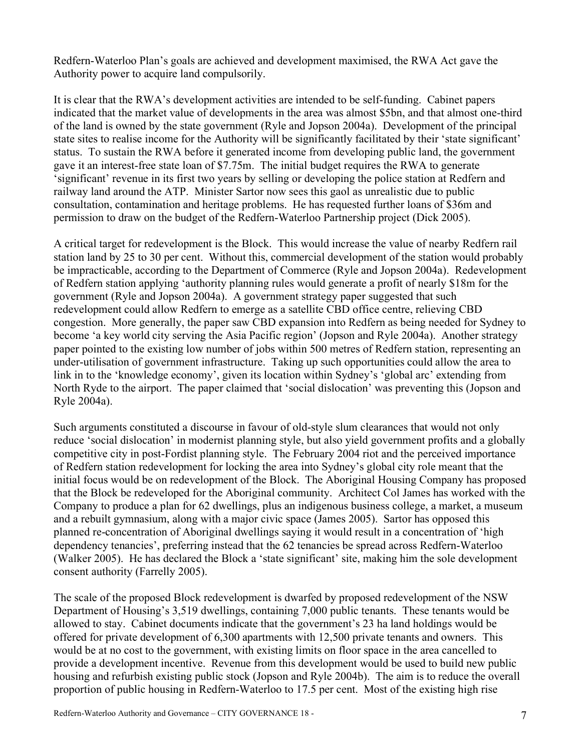Redfern-Waterloo Plan's goals are achieved and development maximised, the RWA Act gave the Authority power to acquire land compulsorily.

It is clear that the RWA's development activities are intended to be self-funding. Cabinet papers indicated that the market value of developments in the area was almost \$5bn, and that almost one-third of the land is owned by the state government (Ryle and Jopson 2004a). Development of the principal state sites to realise income for the Authority will be significantly facilitated by their 'state significant' status. To sustain the RWA before it generated income from developing public land, the government gave it an interest-free state loan of \$7.75m. The initial budget requires the RWA to generate 'significant' revenue in its first two years by selling or developing the police station at Redfern and railway land around the ATP. Minister Sartor now sees this gaol as unrealistic due to public consultation, contamination and heritage problems. He has requested further loans of \$36m and permission to draw on the budget of the Redfern-Waterloo Partnership project (Dick 2005).

A critical target for redevelopment is the Block. This would increase the value of nearby Redfern rail station land by 25 to 30 per cent. Without this, commercial development of the station would probably be impracticable, according to the Department of Commerce (Ryle and Jopson 2004a). Redevelopment of Redfern station applying 'authority planning rules would generate a profit of nearly \$18m for the government (Ryle and Jopson 2004a). A government strategy paper suggested that such redevelopment could allow Redfern to emerge as a satellite CBD office centre, relieving CBD congestion. More generally, the paper saw CBD expansion into Redfern as being needed for Sydney to become 'a key world city serving the Asia Pacific region' (Jopson and Ryle 2004a). Another strategy paper pointed to the existing low number of jobs within 500 metres of Redfern station, representing an under-utilisation of government infrastructure. Taking up such opportunities could allow the area to link in to the 'knowledge economy', given its location within Sydney's 'global arc' extending from North Ryde to the airport. The paper claimed that 'social dislocation' was preventing this (Jopson and Ryle 2004a).

Such arguments constituted a discourse in favour of old-style slum clearances that would not only reduce 'social dislocation' in modernist planning style, but also yield government profits and a globally competitive city in post-Fordist planning style. The February 2004 riot and the perceived importance of Redfern station redevelopment for locking the area into Sydney's global city role meant that the initial focus would be on redevelopment of the Block. The Aboriginal Housing Company has proposed that the Block be redeveloped for the Aboriginal community. Architect Col James has worked with the Company to produce a plan for 62 dwellings, plus an indigenous business college, a market, a museum and a rebuilt gymnasium, along with a major civic space (James 2005). Sartor has opposed this planned re-concentration of Aboriginal dwellings saying it would result in a concentration of 'high dependency tenancies', preferring instead that the 62 tenancies be spread across Redfern-Waterloo (Walker 2005). He has declared the Block a 'state significant' site, making him the sole development consent authority (Farrelly 2005).

The scale of the proposed Block redevelopment is dwarfed by proposed redevelopment of the NSW Department of Housing's 3,519 dwellings, containing 7,000 public tenants. These tenants would be allowed to stay. Cabinet documents indicate that the government's 23 ha land holdings would be offered for private development of 6,300 apartments with 12,500 private tenants and owners. This would be at no cost to the government, with existing limits on floor space in the area cancelled to provide a development incentive. Revenue from this development would be used to build new public housing and refurbish existing public stock (Jopson and Ryle 2004b). The aim is to reduce the overall proportion of public housing in Redfern-Waterloo to 17.5 per cent. Most of the existing high rise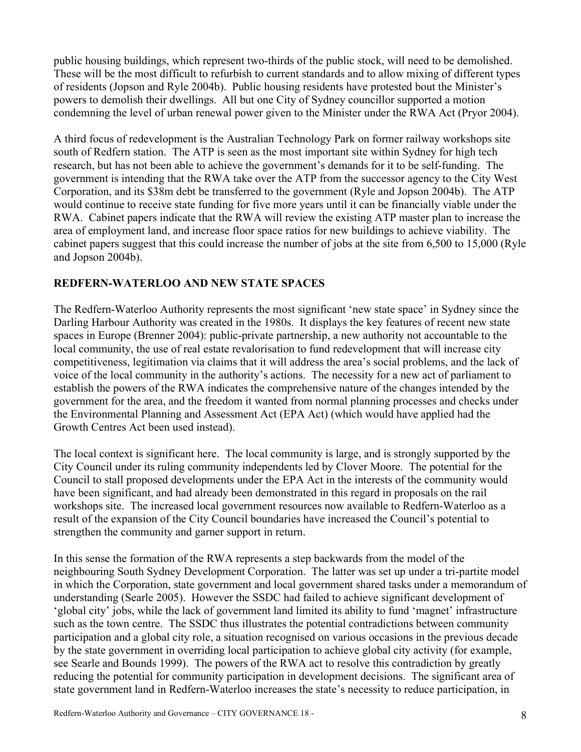public housing buildings, which represent two-thirds of the public stock, will need to be demolished. These will be the most difficult to refurbish to current standards and to allow mixing of different types of residents (Jopson and Ryle 2004b). Public housing residents have protested bout the Minister's powers to demolish their dwellings. All but one City of Sydney councillor supported a motion condemning the level of urban renewal power given to the Minister under the RWA Act (Pryor 2004).

A third focus of redevelopment is the Australian Technology Park on former railway workshops site south of Redfern station. The ATP is seen as the most important site within Sydney for high tech research, but has not been able to achieve the government's demands for it to be self-funding. The government is intending that the RWA take over the ATP from the successor agency to the City West Corporation, and its \$38m debt be transferred to the government (Ryle and Jopson 2004b). The ATP would continue to receive state funding for five more years until it can be financially viable under the RWA. Cabinet papers indicate that the RWA will review the existing ATP master plan to increase the area of employment land, and increase floor space ratios for new buildings to achieve viability. The cabinet papers suggest that this could increase the number of jobs at the site from 6,500 to 15,000 (Ryle and Jopson 2004b).

## **REDFERN-WATERLOO AND NEW STATE SPACES**

The Redfern-Waterloo Authority represents the most significant 'new state space' in Sydney since the Darling Harbour Authority was created in the 1980s. It displays the key features of recent new state spaces in Europe (Brenner 2004): public-private partnership, a new authority not accountable to the local community, the use of real estate revalorisation to fund redevelopment that will increase city competitiveness, legitimation via claims that it will address the area's social problems, and the lack of voice of the local community in the authority's actions. The necessity for a new act of parliament to establish the powers of the RWA indicates the comprehensive nature of the changes intended by the government for the area, and the freedom it wanted from normal planning processes and checks under the Environmental Planning and Assessment Act (EPA Act) (which would have applied had the Growth Centres Act been used instead).

The local context is significant here. The local community is large, and is strongly supported by the City Council under its ruling community independents led by Clover Moore. The potential for the Council to stall proposed developments under the EPA Act in the interests of the community would have been significant, and had already been demonstrated in this regard in proposals on the rail workshops site. The increased local government resources now available to Redfern-Waterloo as a result of the expansion of the City Council boundaries have increased the Council's potential to strengthen the community and garner support in return.

In this sense the formation of the RWA represents a step backwards from the model of the neighbouring South Sydney Development Corporation. The latter was set up under a tri-partite model in which the Corporation, state government and local government shared tasks under a memorandum of understanding (Searle 2005). However the SSDC had failed to achieve significant development of 'global city' jobs, while the lack of government land limited its ability to fund 'magnet' infrastructure such as the town centre. The SSDC thus illustrates the potential contradictions between community participation and a global city role, a situation recognised on various occasions in the previous decade by the state government in overriding local participation to achieve global city activity (for example, see Searle and Bounds 1999). The powers of the RWA act to resolve this contradiction by greatly reducing the potential for community participation in development decisions. The significant area of state government land in Redfern-Waterloo increases the state's necessity to reduce participation, in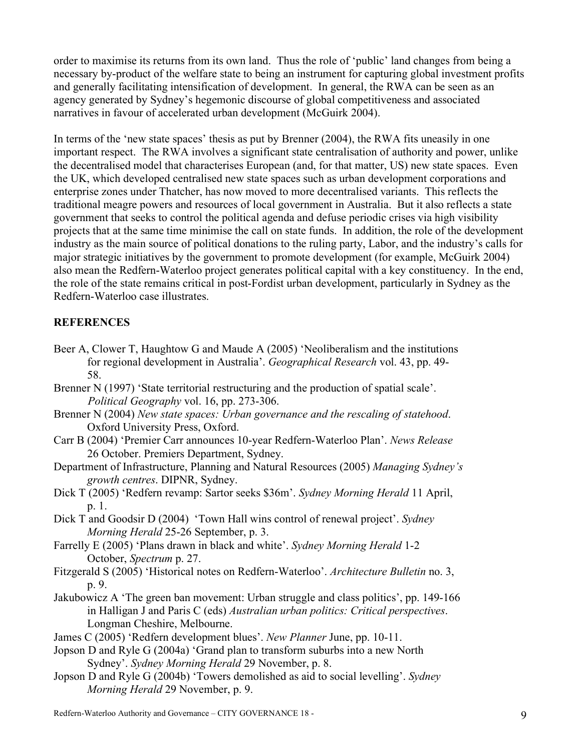order to maximise its returns from its own land. Thus the role of 'public' land changes from being a necessary by-product of the welfare state to being an instrument for capturing global investment profits and generally facilitating intensification of development. In general, the RWA can be seen as an agency generated by Sydney's hegemonic discourse of global competitiveness and associated narratives in favour of accelerated urban development (McGuirk 2004).

In terms of the 'new state spaces' thesis as put by Brenner (2004), the RWA fits uneasily in one important respect. The RWA involves a significant state centralisation of authority and power, unlike the decentralised model that characterises European (and, for that matter, US) new state spaces. Even the UK, which developed centralised new state spaces such as urban development corporations and enterprise zones under Thatcher, has now moved to more decentralised variants. This reflects the traditional meagre powers and resources of local government in Australia. But it also reflects a state government that seeks to control the political agenda and defuse periodic crises via high visibility projects that at the same time minimise the call on state funds. In addition, the role of the development industry as the main source of political donations to the ruling party, Labor, and the industry's calls for major strategic initiatives by the government to promote development (for example, McGuirk 2004) also mean the Redfern-Waterloo project generates political capital with a key constituency. In the end, the role of the state remains critical in post-Fordist urban development, particularly in Sydney as the Redfern-Waterloo case illustrates.

#### **REFERENCES**

- Beer A, Clower T, Haughtow G and Maude A (2005) 'Neoliberalism and the institutions for regional development in Australia'. *Geographical Research* vol. 43, pp. 49- 58.
- Brenner N (1997) 'State territorial restructuring and the production of spatial scale'. *Political Geography* vol. 16, pp. 273-306.
- Brenner N (2004) *New state spaces: Urban governance and the rescaling of statehood*. Oxford University Press, Oxford.
- Carr B (2004) 'Premier Carr announces 10-year Redfern-Waterloo Plan'. *News Release* 26 October. Premiers Department, Sydney.
- Department of Infrastructure, Planning and Natural Resources (2005) *Managing Sydney's growth centres*. DIPNR, Sydney.
- Dick T (2005) 'Redfern revamp: Sartor seeks \$36m'. *Sydney Morning Herald* 11 April, p. 1.
- Dick T and Goodsir D (2004) 'Town Hall wins control of renewal project'. *Sydney Morning Herald* 25-26 September, p. 3.
- Farrelly E (2005) 'Plans drawn in black and white'. *Sydney Morning Herald* 1-2 October, *Spectrum* p. 27.
- Fitzgerald S (2005) 'Historical notes on Redfern-Waterloo'. *Architecture Bulletin* no. 3, p. 9.
- Jakubowicz A 'The green ban movement: Urban struggle and class politics', pp. 149-166 in Halligan J and Paris C (eds) *Australian urban politics: Critical perspectives*. Longman Cheshire, Melbourne.
- James C (2005) 'Redfern development blues'. *New Planner* June, pp. 10-11.
- Jopson D and Ryle G (2004a) 'Grand plan to transform suburbs into a new North Sydney'. *Sydney Morning Herald* 29 November, p. 8.
- Jopson D and Ryle G (2004b) 'Towers demolished as aid to social levelling'. *Sydney Morning Herald* 29 November, p. 9.